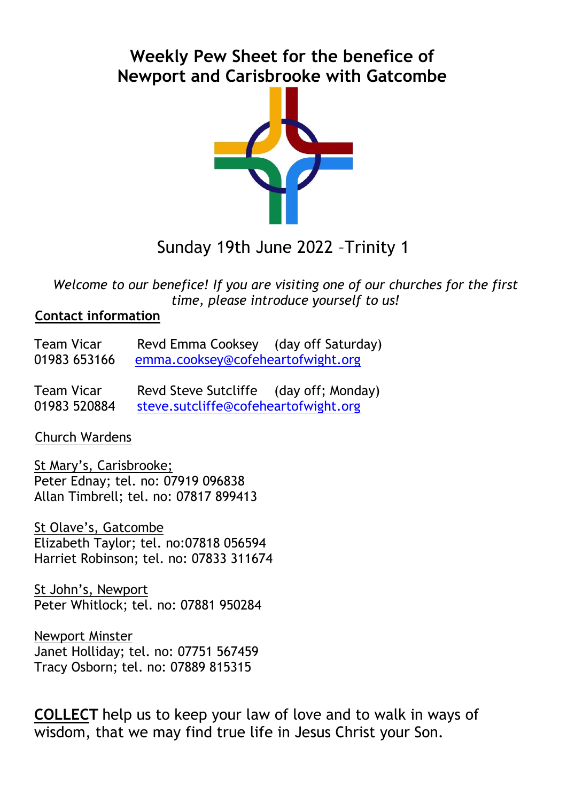# **Weekly Pew Sheet for the benefice of Newport and Carisbrooke with Gatcombe**



# Sunday 19th June 2022 –Trinity 1

*Welcome to our benefice! If you are visiting one of our churches for the first time, please introduce yourself to us!*

#### **Contact information**

| Team Vicar   | Revd Emma Cooksey (day off Saturday) |  |
|--------------|--------------------------------------|--|
| 01983 653166 | emma.cooksey@cofeheartofwight.org    |  |

Team Vicar Revd Steve Sutcliffe (day off; Monday) 01983 520884 [steve.sutcliffe@cofeheartofwight.org](mailto:steve.sutcliffe@cofeheartofwight.org)

Church Wardens

St Mary's, Carisbrooke; Peter Ednay; tel. no: 07919 096838 Allan Timbrell; tel. no: 07817 899413

St Olave's, Gatcombe Elizabeth Taylor; tel. no:07818 056594 Harriet Robinson; tel. no: 07833 311674

St John's, Newport Peter Whitlock; tel. no: 07881 950284

Newport Minster Janet Holliday; tel. no: 07751 567459 Tracy Osborn; tel. no: 07889 815315

**COLLECT** help us to keep your law of love and to walk in ways of wisdom, that we may find true life in Jesus Christ your Son.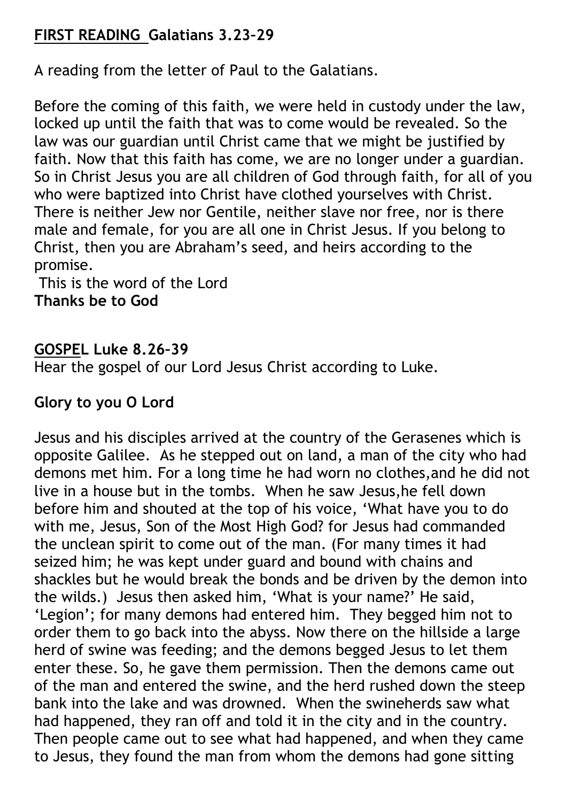### **FIRST READING Galatians 3.23–29**

A reading from the letter of Paul to the Galatians.

Before the coming of this faith, we were held in custody under the law, locked up until the faith that was to come would be revealed. So the law was our guardian until Christ came that we might be justified by faith. Now that this faith has come, we are no longer under a guardian. So in Christ Jesus you are all children of God through faith, for all of you who were baptized into Christ have clothed yourselves with Christ. There is neither Jew nor Gentile, neither slave nor free, nor is there male and female, for you are all one in Christ Jesus. If you belong to Christ, then you are Abraham's seed, and heirs according to the promise.

This is the word of the Lord **Thanks be to God**

### **GOSPEL Luke 8.26–39**

Hear the gospel of our Lord Jesus Christ according to Luke.

## **Glory to you O Lord**

Jesus and his disciples arrived at the country of the Gerasenes which is opposite Galilee. As he stepped out on land, a man of the city who had demons met him. For a long time he had worn no clothes,and he did not live in a house but in the tombs. When he saw Jesus,he fell down before him and shouted at the top of his voice, 'What have you to do with me, Jesus, Son of the Most High God? for Jesus had commanded the unclean spirit to come out of the man. (For many times it had seized him; he was kept under guard and bound with chains and shackles but he would break the bonds and be driven by the demon into the wilds.) Jesus then asked him, 'What is your name?' He said, 'Legion'; for many demons had entered him. They begged him not to order them to go back into the abyss. Now there on the hillside a large herd of swine was feeding; and the demons begged Jesus to let them enter these. So, he gave them permission. Then the demons came out of the man and entered the swine, and the herd rushed down the steep bank into the lake and was drowned. When the swineherds saw what had happened, they ran off and told it in the city and in the country. Then people came out to see what had happened, and when they came to Jesus, they found the man from whom the demons had gone sitting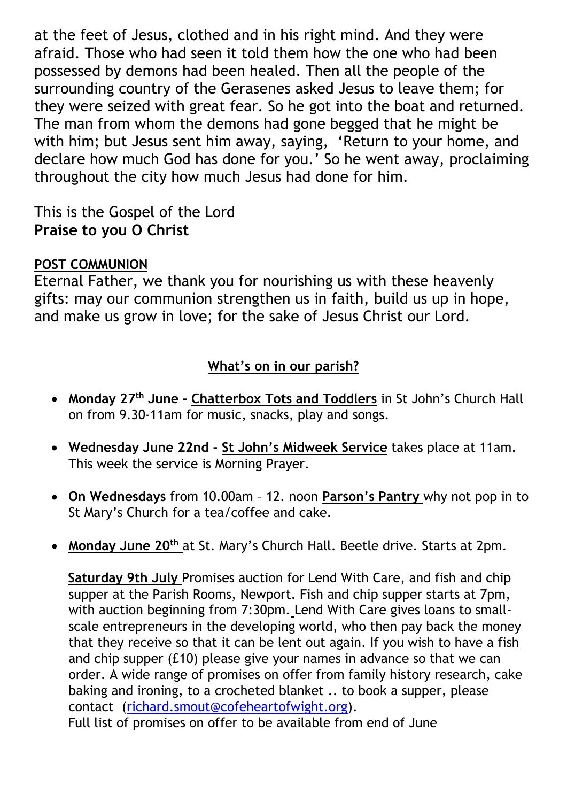at the feet of Jesus, clothed and in his right mind. And they were afraid. Those who had seen it told them how the one who had been possessed by demons had been healed. Then all the people of the surrounding country of the Gerasenes asked Jesus to leave them; for they were seized with great fear. So he got into the boat and returned. The man from whom the demons had gone begged that he might be with him; but Jesus sent him away, saying, 'Return to your home, and declare how much God has done for you.' So he went away, proclaiming throughout the city how much Jesus had done for him.

This is the Gospel of the Lord **Praise to you O Christ**

#### **POST COMMUNION**

Eternal Father, we thank you for nourishing us with these heavenly gifts: may our communion strengthen us in faith, build us up in hope, and make us grow in love; for the sake of Jesus Christ our Lord.

### **What's on in our parish?**

- **Monday 27th June - Chatterbox Tots and Toddlers** in St John's Church Hall on from 9.30-11am for music, snacks, play and songs.
- **Wednesday June 22nd - St John's Midweek Service** takes place at 11am. This week the service is Morning Prayer.
- **On Wednesdays** from 10.00am 12. noon **Parson's Pantry** why not pop in to St Mary's Church for a tea/coffee and cake.
- **Monday June 20th** at St. Mary's Church Hall. Beetle drive. Starts at 2pm.

**Saturday 9th July** Promises auction for Lend With Care, and fish and chip supper at the Parish Rooms, Newport. Fish and chip supper starts at 7pm, with auction beginning from 7:30pm. Lend With Care gives loans to smallscale entrepreneurs in the developing world, who then pay back the money that they receive so that it can be lent out again. If you wish to have a fish and chip supper (£10) please give your names in advance so that we can order. A wide range of promises on offer from family history research, cake baking and ironing, to a crocheted blanket .. to book a supper, please contact [\(richard.smout@cofeheartofwight.org\)](mailto:richard.smout@cofheartofwight.org).

Full list of promises on offer to be available from end of June